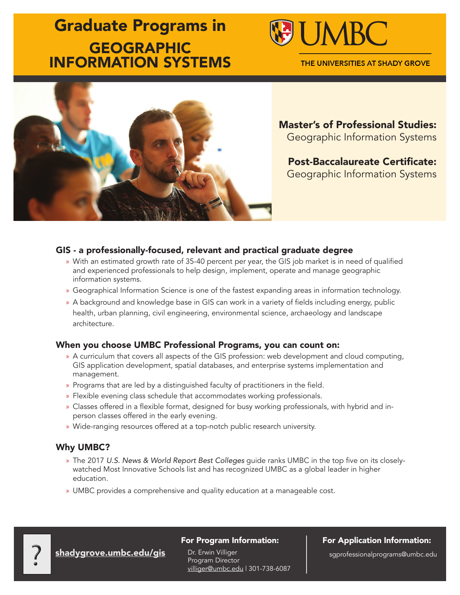# Graduate Programs in **GEOGRAPHIC** INFORMATION SYSTEMS



THE UNIVERSITIES AT SHADY GROVE



Master's of Professional Studies: Geographic Information Systems

Post-Baccalaureate Certificate: Geographic Information Systems

### GIS - a professionally-focused, relevant and practical graduate degree

- » With an estimated growth rate of 35-40 percent per year, the GIS job market is in need of qualified and experienced professionals to help design, implement, operate and manage geographic information systems.
- » Geographical Information Science is one of the fastest expanding areas in information technology.
- » A background and knowledge base in GIS can work in a variety of fields including energy, public health, urban planning, civil engineering, environmental science, archaeology and landscape architecture.

#### When you choose UMBC Professional Programs, you can count on:

- » A curriculum that covers all aspects of the GIS profession: web development and cloud computing, GIS application development, spatial databases, and enterprise systems implementation and management.
- » Programs that are led by a distinguished faculty of practitioners in the field.
- » Flexible evening class schedule that accommodates working professionals.
- » Classes offered in a flexible format, designed for busy working professionals, with hybrid and inperson classes offered in the early evening.
- » Wide-ranging resources offered at a top-notch public research university.

### Why UMBC?

- » The 2017 *U.S. News & World Report Best Colleges* guide ranks UMBC in the top five on its closelywatched Most Innovative Schools list and has recognized UMBC as a global leader in higher education.
- » UMBC provides a comprehensive and quality education at a manageable cost.

#### For Program Information:

Dr. Erwin Villiger Program Director villiger@umbc.edu | 301-738-6087 shadygrove.umbc.edu/gis
Philogram Director
Program Director
Program Director
Program Director
Program Director
Villiger
2011-738-6087
Program Director
Villiger
Enter
2011-738-6087
Program Seumbc.edu 1301-738-6087
Program S

For Application Information: